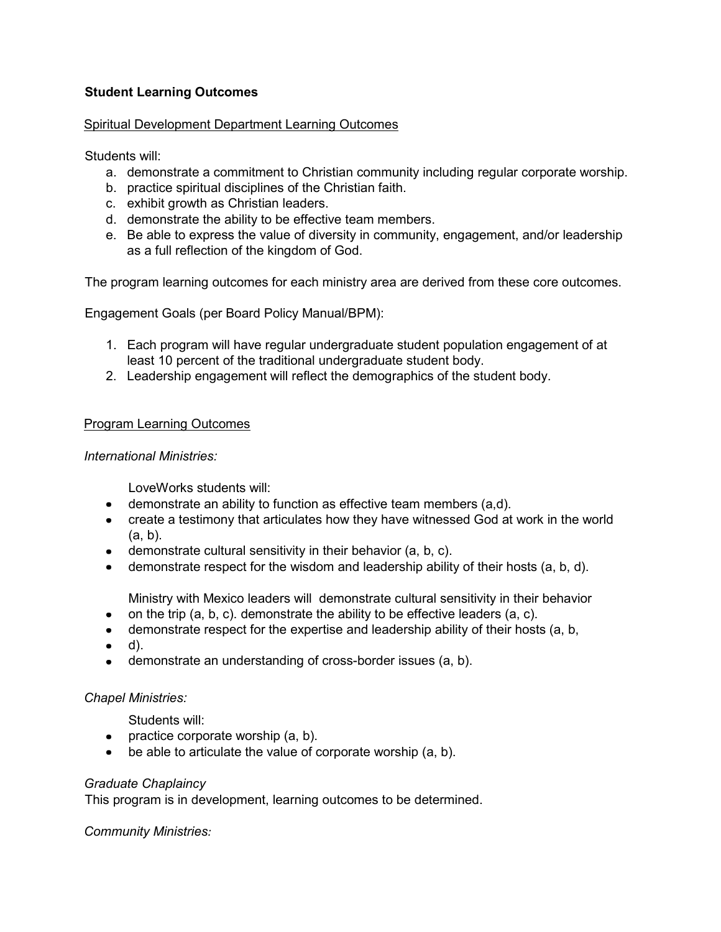# **Student Learning Outcomes**

## Spiritual Development Department Learning Outcomes

Students will:

- a. demonstrate a commitment to Christian community including regular corporate worship.
- b. practice spiritual disciplines of the Christian faith.
- c. exhibit growth as Christian leaders.
- d. demonstrate the ability to be effective team members.
- e. Be able to express the value of diversity in community, engagement, and/or leadership as a full reflection of the kingdom of God.

The program learning outcomes for each ministry area are derived from these core outcomes.

Engagement Goals (per Board Policy Manual/BPM):

- 1. Each program will have regular undergraduate student population engagement of at least 10 percent of the traditional undergraduate student body.
- 2. Leadership engagement will reflect the demographics of the student body.

## Program Learning Outcomes

#### *International Ministries:*

LoveWorks students will:

- demonstrate an ability to function as effective team members (a,d).
- create a testimony that articulates how they have witnessed God at work in the world (a, b).
- $\bullet$  demonstrate cultural sensitivity in their behavior (a, b, c).
- $\bullet$  demonstrate respect for the wisdom and leadership ability of their hosts  $(a, b, d)$ .

Ministry with Mexico leaders will demonstrate cultural sensitivity in their behavior

- $\bullet$ on the trip (a, b, c). demonstrate the ability to be effective leaders (a, c).
- demonstrate respect for the expertise and leadership ability of their hosts (a, b,  $\bullet$
- d).
- demonstrate an understanding of cross-border issues (a, b).

## *Chapel Ministries:*

Students will:

- practice corporate worship  $(a, b)$ .
- be able to articulate the value of corporate worship (a, b).  $\bullet$  .

## *Graduate Chaplaincy*

This program is in development, learning outcomes to be determined.

*Community Ministries:*